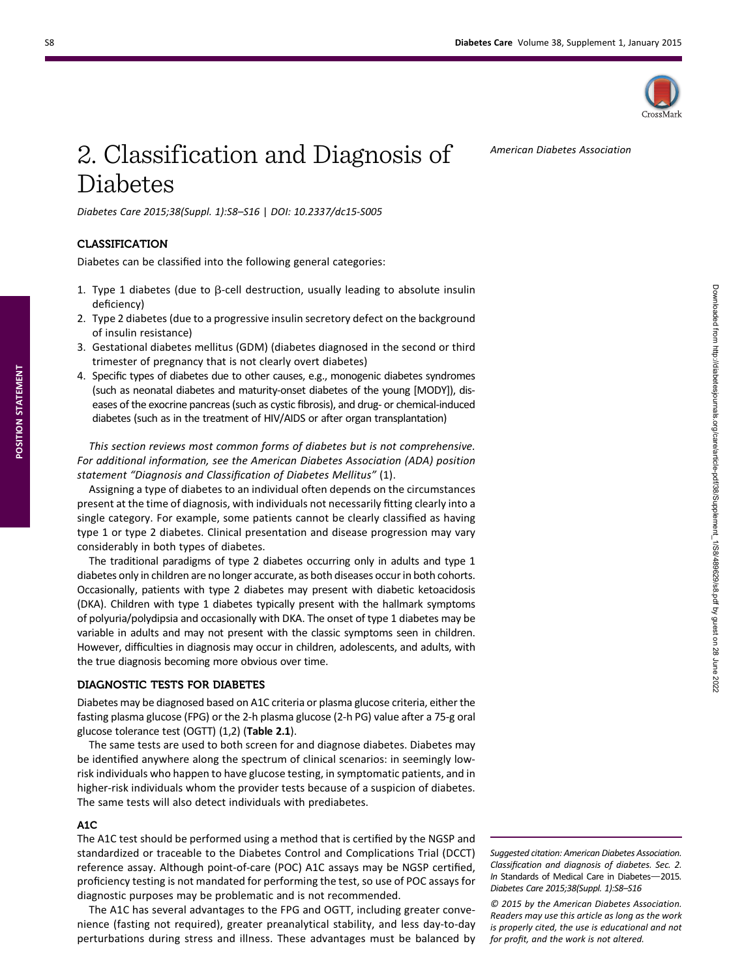American Diabetes Association



# 2. Classification and Diagnosis of Diabetes

Diabetes Care 2015;38(Suppl. 1):S8–S16 | DOI: 10.2337/dc15-S005

### CLASSIFICATION

Diabetes can be classified into the following general categories:

- 1. Type 1 diabetes (due to  $\beta$ -cell destruction, usually leading to absolute insulin deficiency)
- 2. Type 2 diabetes (due to a progressive insulin secretory defect on the background of insulin resistance)
- 3. Gestational diabetes mellitus (GDM) (diabetes diagnosed in the second or third trimester of pregnancy that is not clearly overt diabetes)
- 4. Specific types of diabetes due to other causes, e.g., monogenic diabetes syndromes (such as neonatal diabetes and maturity-onset diabetes of the young [MODY]), diseases of the exocrine pancreas (such as cystic fibrosis), and drug- or chemical-induced diabetes (such as in the treatment of HIV/AIDS or after organ transplantation)

This section reviews most common forms of diabetes but is not comprehensive. For additional information, see the American Diabetes Association (ADA) position statement "Diagnosis and Classification of Diabetes Mellitus" (1).

Assigning a type of diabetes to an individual often depends on the circumstances present at the time of diagnosis, with individuals not necessarily fitting clearly into a single category. For example, some patients cannot be clearly classified as having type 1 or type 2 diabetes. Clinical presentation and disease progression may vary considerably in both types of diabetes.

The traditional paradigms of type 2 diabetes occurring only in adults and type 1 diabetes only in children are no longer accurate, as both diseases occur in both cohorts. Occasionally, patients with type 2 diabetes may present with diabetic ketoacidosis (DKA). Children with type 1 diabetes typically present with the hallmark symptoms of polyuria/polydipsia and occasionally with DKA. The onset of type 1 diabetes may be variable in adults and may not present with the classic symptoms seen in children. However, difficulties in diagnosis may occur in children, adolescents, and adults, with the true diagnosis becoming more obvious over time.

#### DIAGNOSTIC TESTS FOR DIABETES

Diabetes may be diagnosed based on A1C criteria or plasma glucose criteria, either the fasting plasma glucose (FPG) or the 2-h plasma glucose (2-h PG) value after a 75-g oral glucose tolerance test (OGTT) (1,2) (Table 2.1).

The same tests are used to both screen for and diagnose diabetes. Diabetes may be identified anywhere along the spectrum of clinical scenarios: in seemingly lowrisk individuals who happen to have glucose testing, in symptomatic patients, and in higher-risk individuals whom the provider tests because of a suspicion of diabetes. The same tests will also detect individuals with prediabetes.

#### A1C

The A1C test should be performed using a method that is certified by the NGSP and standardized or traceable to the Diabetes Control and Complications Trial (DCCT) reference assay. Although point-of-care (POC) A1C assays may be NGSP certified, proficiency testing is not mandated for performing the test, so use of POC assays for diagnostic purposes may be problematic and is not recommended.

The A1C has several advantages to the FPG and OGTT, including greater convenience (fasting not required), greater preanalytical stability, and less day-to-day perturbations during stress and illness. These advantages must be balanced by

Suggested citation: American Diabetes Association. Classification and diagnosis of diabetes. Sec. 2. In Standards of Medical Care in Diabetes-2015. Diabetes Care 2015;38(Suppl. 1):S8–S16

© 2015 by the American Diabetes Association. Readers may use this article as long as the work is properly cited, the use is educational and not for profit, and the work is not altered.

POSITION STATEMENT

POSITION STATEMENT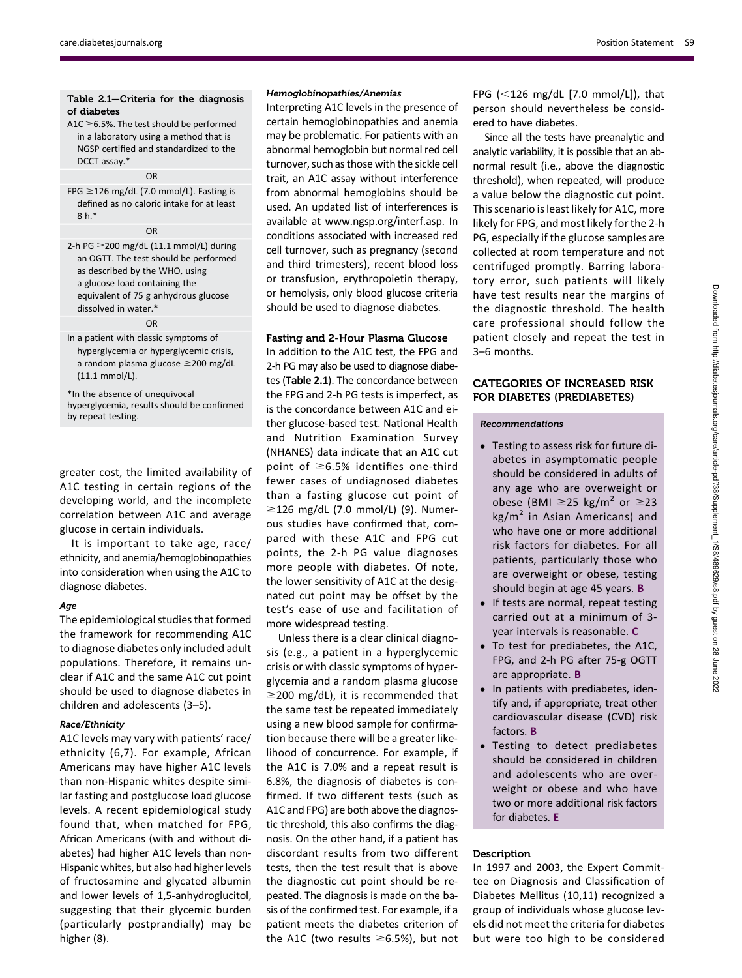#### Table 2.1—Criteria for the diagnosis of diabetes

A1C  $\geq$  6.5%. The test should be performed in a laboratory using a method that is NGSP certified and standardized to the DCCT assay.\*

#### OR

FPG  $\geq$ 126 mg/dL (7.0 mmol/L). Fasting is defined as no caloric intake for at least 8 h.\*

OR

2-h PG  $\geq$ 200 mg/dL (11.1 mmol/L) during an OGTT. The test should be performed as described by the WHO, using a glucose load containing the equivalent of 75 g anhydrous glucose dissolved in water.\* OR

In a patient with classic symptoms of hyperglycemia or hyperglycemic crisis, a random plasma glucose  $\geq$ 200 mg/dL (11.1 mmol/L).

\*In the absence of unequivocal hyperglycemia, results should be confirmed by repeat testing.

greater cost, the limited availability of A1C testing in certain regions of the developing world, and the incomplete correlation between A1C and average glucose in certain individuals.

It is important to take age, race/ ethnicity, and anemia/hemoglobinopathies into consideration when using the A1C to diagnose diabetes.

#### Age

The epidemiological studies that formed the framework for recommending A1C to diagnose diabetes only included adult populations. Therefore, it remains unclear if A1C and the same A1C cut point should be used to diagnose diabetes in children and adolescents (3–5).

#### Race/Ethnicity

A1C levels may vary with patients' race/ ethnicity (6,7). For example, African Americans may have higher A1C levels than non-Hispanic whites despite similar fasting and postglucose load glucose levels. A recent epidemiological study found that, when matched for FPG, African Americans (with and without diabetes) had higher A1C levels than non-Hispanic whites, but also had higher levels of fructosamine and glycated albumin and lower levels of 1,5-anhydroglucitol, suggesting that their glycemic burden (particularly postprandially) may be higher (8).

#### Hemoglobinopathies/Anemias

Interpreting A1C levels in the presence of certain hemoglobinopathies and anemia may be problematic. For patients with an abnormal hemoglobin but normal red cell turnover, such as those with the sickle cell trait, an A1C assay without interference from abnormal hemoglobins should be used. An updated list of interferences is available at [www.ngsp.org/interf.asp.](http://www.ngsp.org/interf.asp) In conditions associated with increased red cell turnover, such as pregnancy (second and third trimesters), recent blood loss or transfusion, erythropoietin therapy, or hemolysis, only blood glucose criteria should be used to diagnose diabetes.

#### Fasting and 2-Hour Plasma Glucose

In addition to the A1C test, the FPG and 2-h PG may also be used to diagnose diabetes (Table 2.1). The concordance between the FPG and 2-h PG tests is imperfect, as is the concordance between A1C and either glucose-based test. National Health and Nutrition Examination Survey (NHANES) data indicate that an A1C cut point of  $\geq$ 6.5% identifies one-third fewer cases of undiagnosed diabetes than a fasting glucose cut point of  $\geq$ 126 mg/dL (7.0 mmol/L) (9). Numerous studies have confirmed that, compared with these A1C and FPG cut points, the 2-h PG value diagnoses more people with diabetes. Of note, the lower sensitivity of A1C at the designated cut point may be offset by the test's ease of use and facilitation of more widespread testing.

Unless there is a clear clinical diagnosis (e.g., a patient in a hyperglycemic crisis or with classic symptoms of hyperglycemia and a random plasma glucose  $\geq$ 200 mg/dL), it is recommended that the same test be repeated immediately using a new blood sample for confirmation because there will be a greater likelihood of concurrence. For example, if the A1C is 7.0% and a repeat result is 6.8%, the diagnosis of diabetes is confirmed. If two different tests (such as A1C and FPG) are both above the diagnostic threshold, this also confirms the diagnosis. On the other hand, if a patient has discordant results from two different tests, then the test result that is above the diagnostic cut point should be repeated. The diagnosis is made on the basis of the confirmed test. For example, if a patient meets the diabetes criterion of the A1C (two results  $\geq$ 6.5%), but not

FPG  $(<$ 126 mg/dL  $[7.0 \text{ mmol/L}]$ ), that person should nevertheless be considered to have diabetes.

Since all the tests have preanalytic and analytic variability, it is possible that an abnormal result (i.e., above the diagnostic threshold), when repeated, will produce a value below the diagnostic cut point. This scenario is least likely for A1C, more likely for FPG, and most likely for the 2-h PG, especially if the glucose samples are collected at room temperature and not centrifuged promptly. Barring laboratory error, such patients will likely have test results near the margins of the diagnostic threshold. The health care professional should follow the patient closely and repeat the test in 3–6 months.

#### CATEGORIES OF INCREASED RISK FOR DIABETES (PREDIABETES)

#### Recommendations

- Testing to assess risk for future diabetes in asymptomatic people should be considered in adults of any age who are overweight or obese (BMI  $\geq$ 25 kg/m<sup>2</sup> or  $\geq$ 23  $kg/m<sup>2</sup>$  in Asian Americans) and who have one or more additional risk factors for diabetes. For all patients, particularly those who are overweight or obese, testing should begin at age 45 years. B
- If tests are normal, repeat testing carried out at a minimum of 3 year intervals is reasonable. C
- To test for prediabetes, the A1C, FPG, and 2-h PG after 75-g OGTT are appropriate. B
- In patients with prediabetes, identify and, if appropriate, treat other cardiovascular disease (CVD) risk factors. B
- Testing to detect prediabetes should be considered in children and adolescents who are overweight or obese and who have two or more additional risk factors for diabetes. E

#### **Description**

In 1997 and 2003, the Expert Committee on Diagnosis and Classification of Diabetes Mellitus (10,11) recognized a group of individuals whose glucose levels did not meet the criteria for diabetes but were too high to be considered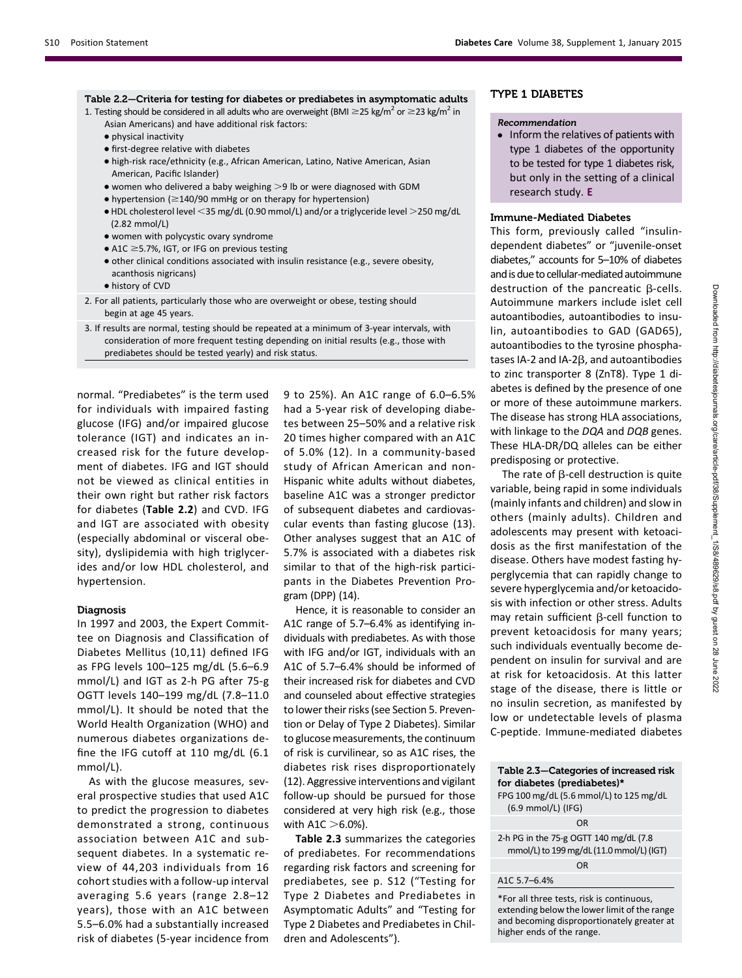| Table 2.2—Criteria for testing for diabetes or prediabetes in asymptomatic adults<br>1. Testing should be considered in all adults who are overweight (BMI $\geq$ 25 kg/m <sup>2</sup> or $\geq$ 23 kg/m <sup>2</sup> in<br>Asian Americans) and have additional risk factors:<br>• physical inactivity<br>• first-degree relative with diabetes<br>• high-risk race/ethnicity (e.g., African American, Latino, Native American, Asian<br>American, Pacific Islander)<br>• women who delivered a baby weighing $>9$ lb or were diagnosed with GDM<br>$\bullet$ hypertension ( $\geq$ 140/90 mmHg or on therapy for hypertension)<br>$\bullet$ HDL cholesterol level $\leq$ 35 mg/dL (0.90 mmol/L) and/or a triglyceride level $\geq$ 250 mg/dL<br>$(2.82$ mmol/L)<br>• women with polycystic ovary syndrome<br>$\bullet$ A1C $\geq$ 5.7%, IGT, or IFG on previous testing<br>• other clinical conditions associated with insulin resistance (e.g., severe obesity,<br>acanthosis nigricans)<br>• history of CVD |  |
|-----------------------------------------------------------------------------------------------------------------------------------------------------------------------------------------------------------------------------------------------------------------------------------------------------------------------------------------------------------------------------------------------------------------------------------------------------------------------------------------------------------------------------------------------------------------------------------------------------------------------------------------------------------------------------------------------------------------------------------------------------------------------------------------------------------------------------------------------------------------------------------------------------------------------------------------------------------------------------------------------------------------|--|
| 2. For all patients, particularly those who are overweight or obese, testing should<br>begin at age 45 years.                                                                                                                                                                                                                                                                                                                                                                                                                                                                                                                                                                                                                                                                                                                                                                                                                                                                                                   |  |
| 3. If results are normal, testing should be repeated at a minimum of 3-year intervals, with<br>consideration of more frequent testing depending on initial results (e.g., those with<br>prediabetes should be tested yearly) and risk status.                                                                                                                                                                                                                                                                                                                                                                                                                                                                                                                                                                                                                                                                                                                                                                   |  |

normal. "Prediabetes" is the term used for individuals with impaired fasting glucose (IFG) and/or impaired glucose tolerance (IGT) and indicates an increased risk for the future development of diabetes. IFG and IGT should not be viewed as clinical entities in their own right but rather risk factors for diabetes (Table 2.2) and CVD. IFG and IGT are associated with obesity (especially abdominal or visceral obesity), dyslipidemia with high triglycerides and/or low HDL cholesterol, and hypertension.

#### Diagnosis

In 1997 and 2003, the Expert Committee on Diagnosis and Classification of Diabetes Mellitus (10,11) defined IFG as FPG levels 100–125 mg/dL (5.6–6.9 mmol/L) and IGT as 2-h PG after 75-g OGTT levels 140–199 mg/dL (7.8–11.0 mmol/L). It should be noted that the World Health Organization (WHO) and numerous diabetes organizations define the IFG cutoff at 110 mg/dL (6.1 mmol/L).

As with the glucose measures, several prospective studies that used A1C to predict the progression to diabetes demonstrated a strong, continuous association between A1C and subsequent diabetes. In a systematic review of 44,203 individuals from 16 cohort studies with a follow-up interval averaging 5.6 years (range 2.8–12 years), those with an A1C between 5.5–6.0% had a substantially increased risk of diabetes (5-year incidence from 9 to 25%). An A1C range of 6.0–6.5% had a 5-year risk of developing diabetes between 25–50% and a relative risk 20 times higher compared with an A1C of 5.0% (12). In a community-based study of African American and non-Hispanic white adults without diabetes, baseline A1C was a stronger predictor of subsequent diabetes and cardiovascular events than fasting glucose (13). Other analyses suggest that an A1C of 5.7% is associated with a diabetes risk similar to that of the high-risk participants in the Diabetes Prevention Program (DPP) (14).

Hence, it is reasonable to consider an A1C range of 5.7–6.4% as identifying individuals with prediabetes. As with those with IFG and/or IGT, individuals with an A1C of 5.7–6.4% should be informed of their increased risk for diabetes and CVD and counseled about effective strategies to lower their risks (see Section 5. Prevention or Delay of Type 2 Diabetes). Similar to glucose measurements, the continuum of risk is curvilinear, so as A1C rises, the diabetes risk rises disproportionately (12). Aggressive interventions and vigilant follow-up should be pursued for those considered at very high risk (e.g., those with A1C  $>6.0%$ ).

Table 2.3 summarizes the categories of prediabetes. For recommendations regarding risk factors and screening for prediabetes, see p. S12 ("Testing for Type 2 Diabetes and Prediabetes in Asymptomatic Adults" and "Testing for Type 2 Diabetes and Prediabetes in Children and Adolescents").

#### TYPE 1 DIABETES

#### Recommendation

• Inform the relatives of patients with type 1 diabetes of the opportunity to be tested for type 1 diabetes risk, but only in the setting of a clinical research study. E

#### Immune-Mediated Diabetes

This form, previously called "insulindependent diabetes" or "juvenile-onset diabetes," accounts for 5–10% of diabetes and is due to cellular-mediated autoimmune destruction of the pancreatic  $\beta$ -cells. Autoimmune markers include islet cell autoantibodies, autoantibodies to insulin, autoantibodies to GAD (GAD65), autoantibodies to the tyrosine phosphatases IA-2 and IA-2 $\beta$ , and autoantibodies to zinc transporter 8 (ZnT8). Type 1 diabetes is defined by the presence of one or more of these autoimmune markers. The disease has strong HLA associations, with linkage to the DQA and DQB genes. These HLA-DR/DQ alleles can be either predisposing or protective.

The rate of  $\beta$ -cell destruction is quite variable, being rapid in some individuals (mainly infants and children) and slow in others (mainly adults). Children and adolescents may present with ketoacidosis as the first manifestation of the disease. Others have modest fasting hyperglycemia that can rapidly change to severe hyperglycemia and/or ketoacidosis with infection or other stress. Adults may retain sufficient  $\beta$ -cell function to prevent ketoacidosis for many years; such individuals eventually become dependent on insulin for survival and are at risk for ketoacidosis. At this latter stage of the disease, there is little or no insulin secretion, as manifested by low or undetectable levels of plasma C-peptide. Immune-mediated diabetes

#### Table 2.3—Categories of increased risk for diabetes (prediabetes)\* FPG 100 mg/dL (5.6 mmol/L) to 125 mg/dL (6.9 mmol/L) (IFG) OR

2-h PG in the 75-g OGTT 140 mg/dL (7.8 mmol/L) to 199 mg/dL (11.0 mmol/L) (IGT) OR

A1C 5.7–6.4%

\*For all three tests, risk is continuous, extending below the lower limit of the range and becoming disproportionately greater at higher ends of the range.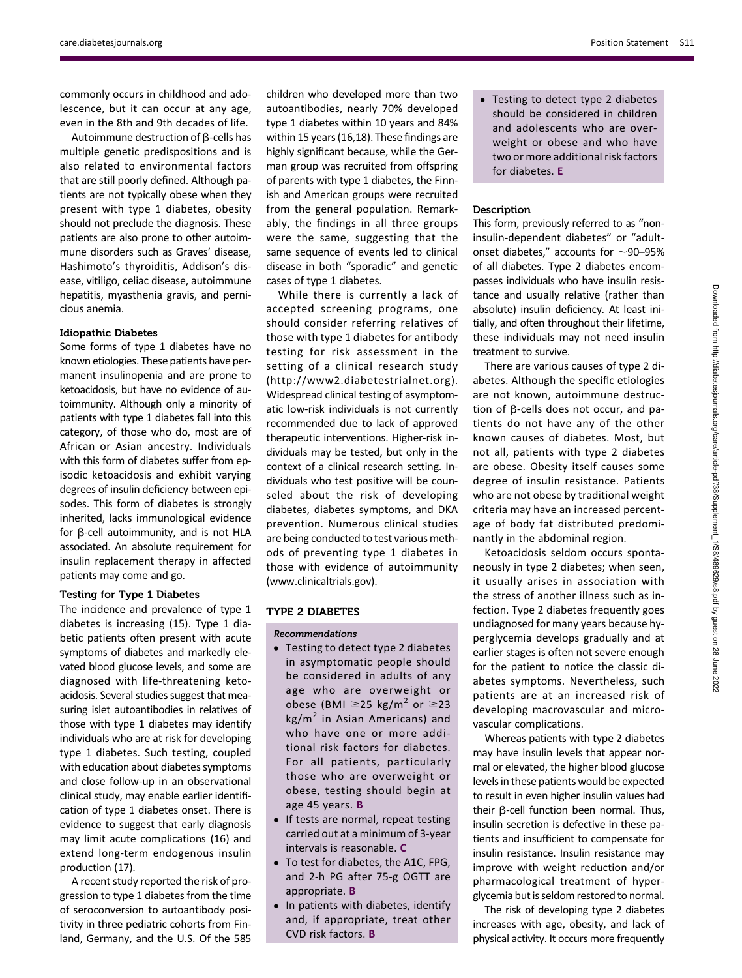commonly occurs in childhood and adolescence, but it can occur at any age, even in the 8th and 9th decades of life.

Autoimmune destruction of  $\beta$ -cells has multiple genetic predispositions and is also related to environmental factors that are still poorly defined. Although patients are not typically obese when they present with type 1 diabetes, obesity should not preclude the diagnosis. These patients are also prone to other autoimmune disorders such as Graves' disease, Hashimoto's thyroiditis, Addison's disease, vitiligo, celiac disease, autoimmune hepatitis, myasthenia gravis, and pernicious anemia.

#### Idiopathic Diabetes

Some forms of type 1 diabetes have no known etiologies. These patients have permanent insulinopenia and are prone to ketoacidosis, but have no evidence of autoimmunity. Although only a minority of patients with type 1 diabetes fall into this category, of those who do, most are of African or Asian ancestry. Individuals with this form of diabetes suffer from episodic ketoacidosis and exhibit varying degrees of insulin deficiency between episodes. This form of diabetes is strongly inherited, lacks immunological evidence for  $\beta$ -cell autoimmunity, and is not HLA associated. An absolute requirement for insulin replacement therapy in affected patients may come and go.

#### Testing for Type 1 Diabetes

The incidence and prevalence of type 1 diabetes is increasing (15). Type 1 diabetic patients often present with acute symptoms of diabetes and markedly elevated blood glucose levels, and some are diagnosed with life-threatening ketoacidosis. Several studies suggest that measuring islet autoantibodies in relatives of those with type 1 diabetes may identify individuals who are at risk for developing type 1 diabetes. Such testing, coupled with education about diabetes symptoms and close follow-up in an observational clinical study, may enable earlier identification of type 1 diabetes onset. There is evidence to suggest that early diagnosis may limit acute complications (16) and extend long-term endogenous insulin production (17).

A recent study reported the risk of progression to type 1 diabetes from the time of seroconversion to autoantibody positivity in three pediatric cohorts from Finland, Germany, and the U.S. Of the 585

children who developed more than two autoantibodies, nearly 70% developed type 1 diabetes within 10 years and 84% within 15 years (16,18). These findings are highly significant because, while the German group was recruited from offspring of parents with type 1 diabetes, the Finnish and American groups were recruited from the general population. Remarkably, the findings in all three groups were the same, suggesting that the same sequence of events led to clinical disease in both "sporadic" and genetic cases of type 1 diabetes.

While there is currently a lack of accepted screening programs, one should consider referring relatives of those with type 1 diabetes for antibody testing for risk assessment in the setting of a clinical research study [\(http://www2.diabetestrialnet.org](http://www2.diabetestrialnet.org)). Widespread clinical testing of asymptomatic low-risk individuals is not currently recommended due to lack of approved therapeutic interventions. Higher-risk individuals may be tested, but only in the context of a clinical research setting. Individuals who test positive will be counseled about the risk of developing diabetes, diabetes symptoms, and DKA prevention. Numerous clinical studies are being conducted to test various methods of preventing type 1 diabetes in those with evidence of autoimmunity [\(www.clinicaltrials.gov](http://www.clinicaltrials.gov)).

#### TYPE 2 DIABETES

#### Recommendations

- Testing to detect type 2 diabetes in asymptomatic people should be considered in adults of any age who are overweight or obese (BMI  $\geq$ 25 kg/m<sup>2</sup> or  $\geq$ 23  $kg/m<sup>2</sup>$  in Asian Americans) and who have one or more additional risk factors for diabetes. For all patients, particularly those who are overweight or obese, testing should begin at age 45 years. B
- If tests are normal, repeat testing carried out at a minimum of 3-year intervals is reasonable. C
- To test for diabetes, the A1C, FPG, and 2-h PG after 75-g OGTT are appropriate. B
- In patients with diabetes, identify and, if appropriate, treat other CVD risk factors. B

• Testing to detect type 2 diabetes should be considered in children and adolescents who are overweight or obese and who have two or more additional risk factors for diabetes. E

#### **Description**

This form, previously referred to as "noninsulin-dependent diabetes" or "adultonset diabetes," accounts for  $\sim$ 90–95% of all diabetes. Type 2 diabetes encompasses individuals who have insulin resistance and usually relative (rather than absolute) insulin deficiency. At least initially, and often throughout their lifetime, these individuals may not need insulin treatment to survive.

There are various causes of type 2 diabetes. Although the specific etiologies are not known, autoimmune destruction of  $\beta$ -cells does not occur, and patients do not have any of the other known causes of diabetes. Most, but not all, patients with type 2 diabetes are obese. Obesity itself causes some degree of insulin resistance. Patients who are not obese by traditional weight criteria may have an increased percentage of body fat distributed predominantly in the abdominal region.

Ketoacidosis seldom occurs spontaneously in type 2 diabetes; when seen, it usually arises in association with the stress of another illness such as infection. Type 2 diabetes frequently goes undiagnosed for many years because hyperglycemia develops gradually and at earlier stages is often not severe enough for the patient to notice the classic diabetes symptoms. Nevertheless, such patients are at an increased risk of developing macrovascular and microvascular complications.

Whereas patients with type 2 diabetes may have insulin levels that appear normal or elevated, the higher blood glucose levels in these patients would be expected to result in even higher insulin values had their  $\beta$ -cell function been normal. Thus, insulin secretion is defective in these patients and insufficient to compensate for insulin resistance. Insulin resistance may improve with weight reduction and/or pharmacological treatment of hyperglycemia but is seldom restored to normal.

The risk of developing type 2 diabetes increases with age, obesity, and lack of physical activity. It occurs more frequently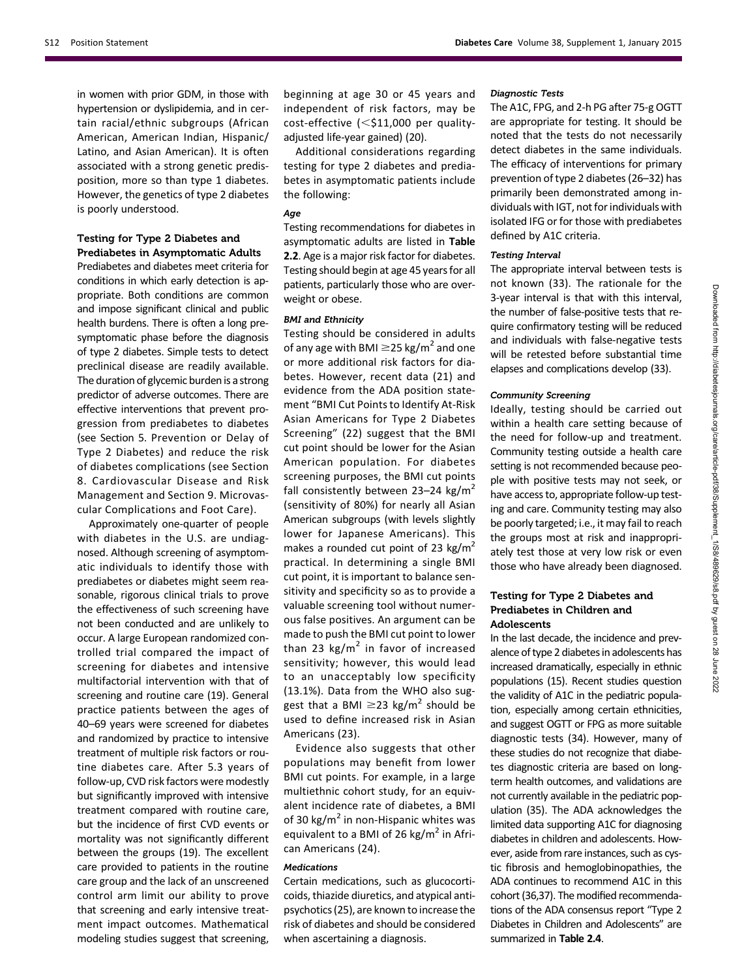in women with prior GDM, in those with hypertension or dyslipidemia, and in certain racial/ethnic subgroups (African American, American Indian, Hispanic/ Latino, and Asian American). It is often associated with a strong genetic predisposition, more so than type 1 diabetes. However, the genetics of type 2 diabetes is poorly understood.

#### Testing for Type 2 Diabetes and Prediabetes in Asymptomatic Adults

Prediabetes and diabetes meet criteria for conditions in which early detection is appropriate. Both conditions are common and impose significant clinical and public health burdens. There is often a long presymptomatic phase before the diagnosis of type 2 diabetes. Simple tests to detect preclinical disease are readily available. The duration of glycemic burden is a strong predictor of adverse outcomes. There are effective interventions that prevent progression from prediabetes to diabetes (see Section 5. Prevention or Delay of Type 2 Diabetes) and reduce the risk of diabetes complications (see Section 8. Cardiovascular Disease and Risk Management and Section 9. Microvascular Complications and Foot Care).

Approximately one-quarter of people with diabetes in the U.S. are undiagnosed. Although screening of asymptomatic individuals to identify those with prediabetes or diabetes might seem reasonable, rigorous clinical trials to prove the effectiveness of such screening have not been conducted and are unlikely to occur. A large European randomized controlled trial compared the impact of screening for diabetes and intensive multifactorial intervention with that of screening and routine care (19). General practice patients between the ages of 40–69 years were screened for diabetes and randomized by practice to intensive treatment of multiple risk factors or routine diabetes care. After 5.3 years of follow-up, CVD risk factors were modestly but significantly improved with intensive treatment compared with routine care, but the incidence of first CVD events or mortality was not significantly different between the groups (19). The excellent care provided to patients in the routine care group and the lack of an unscreened control arm limit our ability to prove that screening and early intensive treatment impact outcomes. Mathematical modeling studies suggest that screening,

beginning at age 30 or 45 years and independent of risk factors, may be cost-effective  $\leq$ \$11,000 per qualityadjusted life-year gained) (20).

Additional considerations regarding testing for type 2 diabetes and prediabetes in asymptomatic patients include the following:

#### Age

Testing recommendations for diabetes in asymptomatic adults are listed in Table 2.2. Age is a major risk factor for diabetes. Testing should begin at age 45 years for all patients, particularly those who are overweight or obese.

#### BMI and Ethnicity

Testing should be considered in adults of any age with BMI  $\geq$ 25 kg/m<sup>2</sup> and one or more additional risk factors for diabetes. However, recent data (21) and evidence from the ADA position statement "BMI Cut Points to Identify At-Risk Asian Americans for Type 2 Diabetes Screening" (22) suggest that the BMI cut point should be lower for the Asian American population. For diabetes screening purposes, the BMI cut points fall consistently between 23–24 kg/m<sup>2</sup> (sensitivity of 80%) for nearly all Asian American subgroups (with levels slightly lower for Japanese Americans). This makes a rounded cut point of 23 kg/m<sup>2</sup> practical. In determining a single BMI cut point, it is important to balance sensitivity and specificity so as to provide a valuable screening tool without numerous false positives. An argument can be made to push the BMI cut point to lower than 23 kg/ $m^2$  in favor of increased sensitivity; however, this would lead to an unacceptably low specificity (13.1%). Data from the WHO also suggest that a BMI  $\geq$ 23 kg/m<sup>2</sup> should be used to define increased risk in Asian Americans (23).

Evidence also suggests that other populations may benefit from lower BMI cut points. For example, in a large multiethnic cohort study, for an equivalent incidence rate of diabetes, a BMI of 30 kg/ $m^2$  in non-Hispanic whites was equivalent to a BMI of 26 kg/ $m^2$  in African Americans (24).

#### Medications

Certain medications, such as glucocorticoids, thiazide diuretics, and atypical antipsychotics (25), are known to increase the risk of diabetes and should be considered when ascertaining a diagnosis.

#### Diagnostic Tests

The A1C, FPG, and 2-h PG after 75-g OGTT are appropriate for testing. It should be noted that the tests do not necessarily detect diabetes in the same individuals. The efficacy of interventions for primary prevention of type 2 diabetes (26–32) has primarily been demonstrated among individuals with IGT, not for individuals with isolated IFG or for those with prediabetes defined by A1C criteria.

#### Testing Interval

The appropriate interval between tests is not known (33). The rationale for the 3-year interval is that with this interval, the number of false-positive tests that require confirmatory testing will be reduced and individuals with false-negative tests will be retested before substantial time elapses and complications develop (33).

#### Community Screening

Ideally, testing should be carried out within a health care setting because of the need for follow-up and treatment. Community testing outside a health care setting is not recommended because people with positive tests may not seek, or have access to, appropriate follow-up testing and care. Community testing may also be poorly targeted; i.e., it may fail to reach the groups most at risk and inappropriately test those at very low risk or even those who have already been diagnosed.

#### Testing for Type 2 Diabetes and Prediabetes in Children and Adolescents

In the last decade, the incidence and prevalence of type 2 diabetes in adolescents has increased dramatically, especially in ethnic populations (15). Recent studies question the validity of A1C in the pediatric population, especially among certain ethnicities, and suggest OGTT or FPG as more suitable diagnostic tests (34). However, many of these studies do not recognize that diabetes diagnostic criteria are based on longterm health outcomes, and validations are not currently available in the pediatric population (35). The ADA acknowledges the limited data supporting A1C for diagnosing diabetes in children and adolescents. However, aside from rare instances, such as cystic fibrosis and hemoglobinopathies, the ADA continues to recommend A1C in this cohort (36,37). The modified recommendations of the ADA consensus report "Type 2 Diabetes in Children and Adolescents" are summarized in Table 2.4.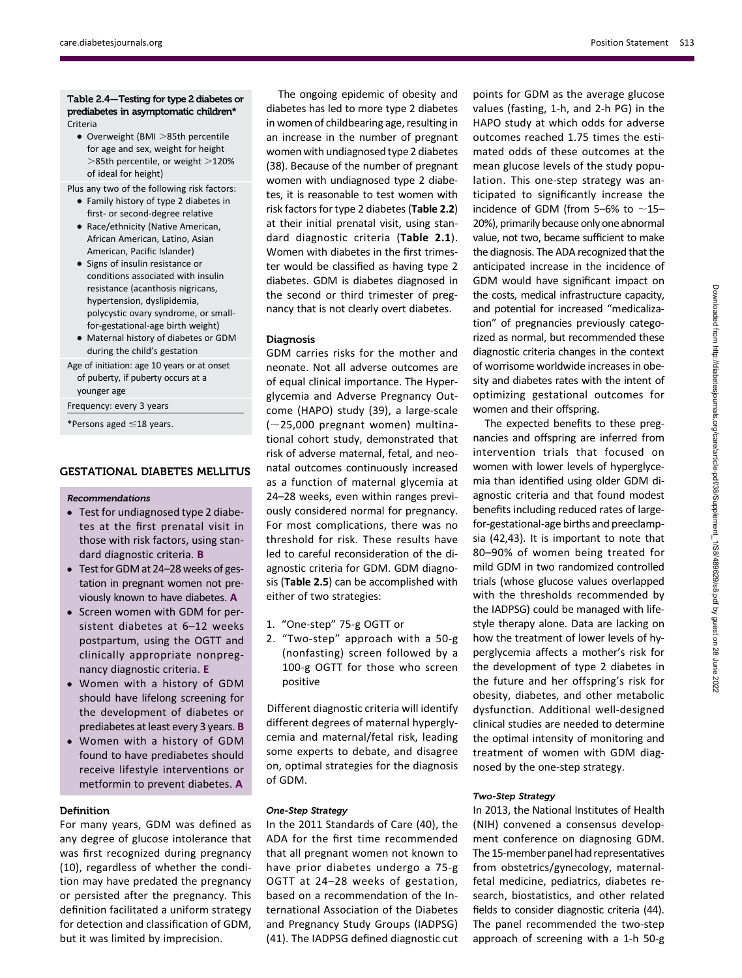#### [care.diabetesjournals.org](http://care.diabetesjournals.org) Position Statement S13

#### Table 2.4—Testing for type 2 diabetes or prediabetes in asymptomatic children\* Criteria

- $\bullet$  Overweight (BMI  $>$ 85th percentile for age and sex, weight for height  $>$ 85th percentile, or weight  $>$ 120% of ideal for height)
- Plus any two of the following risk factors:
	- Family history of type 2 diabetes in first- or second-degree relative
	- Race/ethnicity (Native American, African American, Latino, Asian American, Pacific Islander)
	- Signs of insulin resistance or conditions associated with insulin resistance (acanthosis nigricans, hypertension, dyslipidemia, polycystic ovary syndrome, or smallfor-gestational-age birth weight)
	- Maternal history of diabetes or GDM during the child's gestation

Age of initiation: age 10 years or at onset of puberty, if puberty occurs at a younger age

Frequency: every 3 years

\*Persons aged  $\leq$ 18 years.

#### GESTATIONAL DIABETES MELLITUS

#### Recommendations

- Test for undiagnosed type 2 diabetes at the first prenatal visit in those with risk factors, using standard diagnostic criteria. B
- Test for GDM at 24-28 weeks of gestation in pregnant women not previously known to have diabetes. A
- Screen women with GDM for persistent diabetes at 6–12 weeks postpartum, using the OGTT and clinically appropriate nonpregnancy diagnostic criteria. E
- Women with a history of GDM should have lifelong screening for the development of diabetes or prediabetes at least every 3 years. B
- Women with a history of GDM found to have prediabetes should receive lifestyle interventions or metformin to prevent diabetes. A

#### **Definition**

For many years, GDM was defined as any degree of glucose intolerance that was first recognized during pregnancy (10), regardless of whether the condition may have predated the pregnancy or persisted after the pregnancy. This definition facilitated a uniform strategy for detection and classification of GDM, but it was limited by imprecision.

The ongoing epidemic of obesity and diabetes has led to more type 2 diabetes in women of childbearing age, resulting in an increase in the number of pregnant women with undiagnosed type 2 diabetes (38). Because of the number of pregnant women with undiagnosed type 2 diabetes, it is reasonable to test women with risk factors for type 2 diabetes (Table 2.2) at their initial prenatal visit, using standard diagnostic criteria (Table 2.1). Women with diabetes in the first trimester would be classified as having type 2 diabetes. GDM is diabetes diagnosed in the second or third trimester of pregnancy that is not clearly overt diabetes.

#### Diagnosis

GDM carries risks for the mother and neonate. Not all adverse outcomes are of equal clinical importance. The Hyperglycemia and Adverse Pregnancy Outcome (HAPO) study (39), a large-scale  $(-25,000$  pregnant women) multinational cohort study, demonstrated that risk of adverse maternal, fetal, and neonatal outcomes continuously increased as a function of maternal glycemia at 24–28 weeks, even within ranges previously considered normal for pregnancy. For most complications, there was no threshold for risk. These results have led to careful reconsideration of the diagnostic criteria for GDM. GDM diagnosis (Table 2.5) can be accomplished with either of two strategies:

- 1. "One-step" 75-g OGTT or
- 2. "Two-step" approach with a 50-g (nonfasting) screen followed by a 100-g OGTT for those who screen positive

Different diagnostic criteria will identify different degrees of maternal hyperglycemia and maternal/fetal risk, leading some experts to debate, and disagree on, optimal strategies for the diagnosis of GDM.

#### One-Step Strategy

In the 2011 Standards of Care (40), the ADA for the first time recommended that all pregnant women not known to have prior diabetes undergo a 75-g OGTT at 24–28 weeks of gestation, based on a recommendation of the International Association of the Diabetes and Pregnancy Study Groups (IADPSG) (41). The IADPSG defined diagnostic cut points for GDM as the average glucose values (fasting, 1-h, and 2-h PG) in the HAPO study at which odds for adverse outcomes reached 1.75 times the estimated odds of these outcomes at the mean glucose levels of the study population. This one-step strategy was anticipated to significantly increase the incidence of GDM (from 5–6% to  $\sim$ 15– 20%), primarily because only one abnormal value, not two, became sufficient to make the diagnosis. The ADA recognized that the anticipated increase in the incidence of GDM would have significant impact on the costs, medical infrastructure capacity, and potential for increased "medicalization" of pregnancies previously categorized as normal, but recommended these diagnostic criteria changes in the context of worrisome worldwide increases in obesity and diabetes rates with the intent of optimizing gestational outcomes for women and their offspring.

The expected benefits to these pregnancies and offspring are inferred from intervention trials that focused on women with lower levels of hyperglycemia than identified using older GDM diagnostic criteria and that found modest benefits including reduced rates of largefor-gestational-age births and preeclampsia (42,43). It is important to note that 80–90% of women being treated for mild GDM in two randomized controlled trials (whose glucose values overlapped with the thresholds recommended by the IADPSG) could be managed with lifestyle therapy alone. Data are lacking on how the treatment of lower levels of hyperglycemia affects a mother's risk for the development of type 2 diabetes in the future and her offspring's risk for obesity, diabetes, and other metabolic dysfunction. Additional well-designed clinical studies are needed to determine the optimal intensity of monitoring and treatment of women with GDM diagnosed by the one-step strategy.

#### Two-Step Strategy

In 2013, the National Institutes of Health (NIH) convened a consensus development conference on diagnosing GDM. The 15-member panel had representatives from obstetrics/gynecology, maternalfetal medicine, pediatrics, diabetes research, biostatistics, and other related fields to consider diagnostic criteria (44). The panel recommended the two-step approach of screening with a 1-h 50-g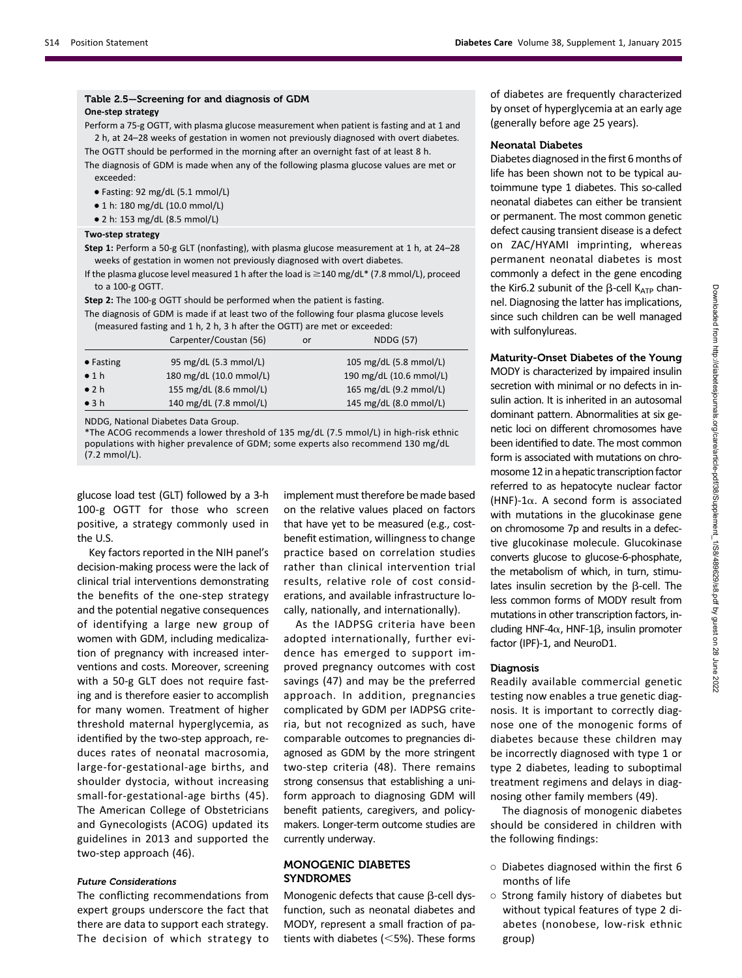## Table 2.5—Screening for and diagnosis of GDM

ens step strategy<br>Perform a 75-g OGTT, with plasma glucose measurement when patient is fasting and at 1 and 2 h, at 24–28 weeks of gestation in women not previously diagnosed with overt diabetes. The OGTT should be performed in the morning after an overnight fast of at least 8 h.

The diagnosis of GDM is made when any of the following plasma glucose values are met or exceeded:

- $\bullet$  Fasting: 92 mg/dL (5.1 mmol/L)
- $\bullet$  1 h: 180 mg/dL (10.0 mmol/L)
- c 2 h: 153 mg/dL (8.5 mmol/L)

Step 1: Perform a 50-g GLT (nonfasting), with plasma glucose measurement at 1 h, at 24–28<br>weeks of gestation in women not provinuely diagnosed with overt diabates weeks of gestation in women not previously diagnosed with overt diabetes.

If the plasma glucose level measured 1 h after the load is  $\geq$  140 mg/dL\* (7.8 mmol/L), proceed to a 100-g OGTT.

Step 2: The 100-g OGTT should be performed when the patient is fasting.

The diagnosis of GDM is made if at least two of the following four plasma glucose levels (measured fasting and 1 h, 2 h, 3 h after the OGTT) are met or exceeded:

|                   | Carpenter/Coustan (56)  | or | <b>NDDG (57)</b>        |
|-------------------|-------------------------|----|-------------------------|
| $\bullet$ Fasting | 95 mg/dL (5.3 mmol/L)   |    | 105 mg/dL (5.8 mmol/L)  |
| $\bullet$ 1 h     | 180 mg/dL (10.0 mmol/L) |    | 190 mg/dL (10.6 mmol/L) |
| $\bullet$ 2 h     | 155 mg/dL (8.6 mmol/L)  |    | 165 mg/dL (9.2 mmol/L)  |
| $\bullet$ 3 h     | 140 mg/dL (7.8 mmol/L)  |    | 145 mg/dL (8.0 mmol/L)  |

NDDG, National Diabetes Data Group.

\*The ACOG recommends a lower threshold of 135 mg/dL (7.5 mmol/L) in high-risk ethnic populations with higher prevalence of GDM; some experts also recommend 130 mg/dL (7.2 mmol/L).

glucose load test (GLT) followed by a 3-h 100-g OGTT for those who screen positive, a strategy commonly used in the U.S.

Key factors reported in the NIH panel's decision-making process were the lack of clinical trial interventions demonstrating the benefits of the one-step strategy and the potential negative consequences of identifying a large new group of women with GDM, including medicalization of pregnancy with increased interventions and costs. Moreover, screening with a 50-g GLT does not require fasting and is therefore easier to accomplish for many women. Treatment of higher threshold maternal hyperglycemia, as identified by the two-step approach, reduces rates of neonatal macrosomia, large-for-gestational-age births, and shoulder dystocia, without increasing small-for-gestational-age births (45). The American College of Obstetricians and Gynecologists (ACOG) updated its guidelines in 2013 and supported the two-step approach (46).

#### Future Considerations

The conflicting recommendations from expert groups underscore the fact that there are data to support each strategy. The decision of which strategy to

implement must therefore be made based on the relative values placed on factors that have yet to be measured (e.g., costbenefit estimation, willingness to change practice based on correlation studies rather than clinical intervention trial results, relative role of cost considerations, and available infrastructure locally, nationally, and internationally).

As the IADPSG criteria have been adopted internationally, further evidence has emerged to support improved pregnancy outcomes with cost savings (47) and may be the preferred approach. In addition, pregnancies complicated by GDM per IADPSG criteria, but not recognized as such, have comparable outcomes to pregnancies diagnosed as GDM by the more stringent two-step criteria (48). There remains strong consensus that establishing a uniform approach to diagnosing GDM will benefit patients, caregivers, and policymakers. Longer-term outcome studies are currently underway.

#### MONOGENIC DIABETES SYNDROMES

Monogenic defects that cause  $\beta$ -cell dysfunction, such as neonatal diabetes and MODY, represent a small fraction of patients with diabetes  $(<5\%)$ . These forms

of diabetes are frequently characterized by onset of hyperglycemia at an early age (generally before age 25 years).

#### Neonatal Diabetes

Diabetes diagnosed in the first 6 months of life has been shown not to be typical autoimmune type 1 diabetes. This so-called neonatal diabetes can either be transient or permanent. The most common genetic defect causing transient disease is a defect on ZAC/HYAMI imprinting, whereas permanent neonatal diabetes is most commonly a defect in the gene encoding the Kir6.2 subunit of the  $\beta$ -cell K<sub>ATP</sub> channel. Diagnosing the latter has implications, since such children can be well managed with sulfonylureas.

#### Maturity-Onset Diabetes of the Young

MODY is characterized by impaired insulin secretion with minimal or no defects in insulin action. It is inherited in an autosomal dominant pattern. Abnormalities at six genetic loci on different chromosomes have been identified to date. The most common form is associated with mutations on chromosome 12 in a hepatic transcription factor referred to as hepatocyte nuclear factor (HNF)-1 $\alpha$ . A second form is associated with mutations in the glucokinase gene on chromosome 7p and results in a defective glucokinase molecule. Glucokinase converts glucose to glucose-6-phosphate, the metabolism of which, in turn, stimulates insulin secretion by the  $\beta$ -cell. The less common forms of MODY result from mutations in other transcription factors, including HNF-4 $\alpha$ , HNF-1 $\beta$ , insulin promoter factor (IPF)-1, and NeuroD1.

#### Diagnosis

Readily available commercial genetic testing now enables a true genetic diagnosis. It is important to correctly diagnose one of the monogenic forms of diabetes because these children may be incorrectly diagnosed with type 1 or type 2 diabetes, leading to suboptimal treatment regimens and delays in diagnosing other family members (49).

The diagnosis of monogenic diabetes should be considered in children with the following findings:

- Diabetes diagnosed within the first 6 months of life
- Strong family history of diabetes but without typical features of type 2 diabetes (nonobese, low-risk ethnic group)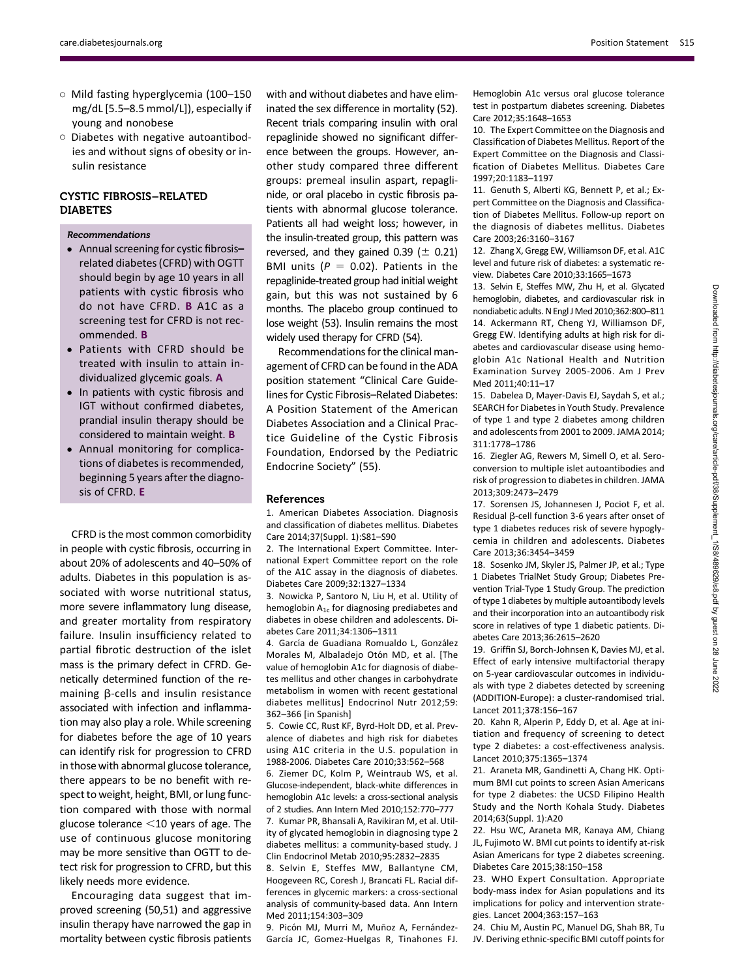- Mild fasting hyperglycemia (100–150 mg/dL [5.5–8.5 mmol/L]), especially if young and nonobese
- Diabetes with negative autoantibodies and without signs of obesity or insulin resistance

#### CYSTIC FIBROSIS–RELATED DIABETES

#### Recommendations

- Annual screening for cystic fibrosisrelated diabetes (CFRD) with OGTT should begin by age 10 years in all patients with cystic fibrosis who do not have CFRD. B A1C as a screening test for CFRD is not recommended. B
- Patients with CFRD should be treated with insulin to attain individualized glycemic goals. A
- In patients with cystic fibrosis and IGT without confirmed diabetes, prandial insulin therapy should be considered to maintain weight. B
- Annual monitoring for complications of diabetes is recommended, beginning 5 years after the diagnosis of CFRD. E

CFRD is the most common comorbidity in people with cystic fibrosis, occurring in about 20% of adolescents and 40–50% of adults. Diabetes in this population is associated with worse nutritional status, more severe inflammatory lung disease, and greater mortality from respiratory failure. Insulin insufficiency related to partial fibrotic destruction of the islet mass is the primary defect in CFRD. Genetically determined function of the remaining B-cells and insulin resistance associated with infection and inflammation may also play a role. While screening for diabetes before the age of 10 years can identify risk for progression to CFRD in those with abnormal glucose tolerance, there appears to be no benefit with respect to weight, height, BMI, or lung function compared with those with normal glucose tolerance  $<$ 10 years of age. The use of continuous glucose monitoring may be more sensitive than OGTT to detect risk for progression to CFRD, but this likely needs more evidence.

Encouraging data suggest that improved screening (50,51) and aggressive insulin therapy have narrowed the gap in mortality between cystic fibrosis patients

with and without diabetes and have eliminated the sex difference in mortality (52). Recent trials comparing insulin with oral repaglinide showed no significant difference between the groups. However, another study compared three different groups: premeal insulin aspart, repaglinide, or oral placebo in cystic fibrosis patients with abnormal glucose tolerance. Patients all had weight loss; however, in the insulin-treated group, this pattern was reversed, and they gained  $0.39$  ( $\pm$  0.21) BMI units ( $P = 0.02$ ). Patients in the repaglinide-treated group had initial weight gain, but this was not sustained by 6 months. The placebo group continued to lose weight (53). Insulin remains the most widely used therapy for CFRD (54).

Recommendations for the clinical management of CFRD can be found in the ADA position statement "Clinical Care Guidelines for Cystic Fibrosis–Related Diabetes: A Position Statement of the American Diabetes Association and a Clinical Practice Guideline of the Cystic Fibrosis Foundation, Endorsed by the Pediatric Endocrine Society" (55).

#### References

1. American Diabetes Association. Diagnosis and classification of diabetes mellitus. Diabetes Care 2014;37(Suppl. 1):S81–S90

2. The International Expert Committee. International Expert Committee report on the role of the A1C assay in the diagnosis of diabetes. Diabetes Care 2009;32:1327–1334

3. Nowicka P, Santoro N, Liu H, et al. Utility of hemoglobin  $A_{1c}$  for diagnosing prediabetes and diabetes in obese children and adolescents. Diabetes Care 2011;34:1306–1311

4. García de Guadiana Romualdo L. González Morales M, Albaladejo Otón MD, et al. [The value of hemoglobin A1c for diagnosis of diabetes mellitus and other changes in carbohydrate metabolism in women with recent gestational diabetes mellitus] Endocrinol Nutr 2012;59: 362–366 [in Spanish]

5. Cowie CC, Rust KF, Byrd-Holt DD, et al. Prevalence of diabetes and high risk for diabetes using A1C criteria in the U.S. population in 1988-2006. Diabetes Care 2010;33:562–568

6. Ziemer DC, Kolm P, Weintraub WS, et al. Glucose-independent, black-white differences in hemoglobin A1c levels: a cross-sectional analysis of 2 studies. Ann Intern Med 2010;152:770–777 7. Kumar PR, Bhansali A, Ravikiran M, et al. Utility of glycated hemoglobin in diagnosing type 2 diabetes mellitus: a community-based study. J

Clin Endocrinol Metab 2010;95:2832–2835 8. Selvin E, Steffes MW, Ballantyne CM, Hoogeveen RC, Coresh J, Brancati FL. Racial differences in glycemic markers: a cross-sectional analysis of community-based data. Ann Intern Med 2011;154:303–309

9. Picón MJ, Murri M, Muñoz A, Fernández-García JC, Gomez-Huelgas R, Tinahones FJ. Hemoglobin A1c versus oral glucose tolerance test in postpartum diabetes screening. Diabetes Care 2012;35:1648–1653

10. The Expert Committee on the Diagnosis and Classification of Diabetes Mellitus. Report of the Expert Committee on the Diagnosis and Classification of Diabetes Mellitus. Diabetes Care 1997;20:1183–1197

11. Genuth S, Alberti KG, Bennett P, et al.; Expert Committee on the Diagnosis and Classification of Diabetes Mellitus. Follow-up report on the diagnosis of diabetes mellitus. Diabetes Care 2003;26:3160–3167

12. Zhang X, Gregg EW, Williamson DF, et al. A1C level and future risk of diabetes: a systematic review. Diabetes Care 2010;33:1665–1673

13. Selvin E, Steffes MW, Zhu H, et al. Glycated hemoglobin, diabetes, and cardiovascular risk in nondiabetic adults. N Engl J Med 2010;362:800-811 14. Ackermann RT, Cheng YJ, Williamson DF, Gregg EW. Identifying adults at high risk for diabetes and cardiovascular disease using hemoglobin A1c National Health and Nutrition Examination Survey 2005-2006. Am J Prev Med 2011;40:11–17

15. Dabelea D, Mayer-Davis EJ, Saydah S, et al.; SEARCH for Diabetes in Youth Study. Prevalence of type 1 and type 2 diabetes among children and adolescents from 2001 to 2009. JAMA 2014; 311:1778–1786

16. Ziegler AG, Rewers M, Simell O, et al. Seroconversion to multiple islet autoantibodies and risk of progression to diabetes in children. JAMA 2013;309:2473–2479

17. Sorensen JS, Johannesen J, Pociot F, et al. Residual  $\beta$ -cell function 3-6 years after onset of type 1 diabetes reduces risk of severe hypoglycemia in children and adolescents. Diabetes Care 2013;36:3454–3459

18. Sosenko JM, Skyler JS, Palmer JP, et al.; Type 1 Diabetes TrialNet Study Group; Diabetes Prevention Trial-Type 1 Study Group. The prediction of type 1 diabetes by multiple autoantibody levels and their incorporation into an autoantibody risk score in relatives of type 1 diabetic patients. Diabetes Care 2013;36:2615–2620

19. Griffin SJ, Borch-Johnsen K, Davies MJ, et al. Effect of early intensive multifactorial therapy on 5-year cardiovascular outcomes in individuals with type 2 diabetes detected by screening (ADDITION-Europe): a cluster-randomised trial. Lancet 2011;378:156–167

20. Kahn R, Alperin P, Eddy D, et al. Age at initiation and frequency of screening to detect type 2 diabetes: a cost-effectiveness analysis. Lancet 2010;375:1365–1374

21. Araneta MR, Gandinetti A, Chang HK. Optimum BMI cut points to screen Asian Americans for type 2 diabetes: the UCSD Filipino Health Study and the North Kohala Study. Diabetes 2014;63(Suppl. 1):A20

22. Hsu WC, Araneta MR, Kanaya AM, Chiang JL, Fujimoto W. BMI cut points to identify at-risk Asian Americans for type 2 diabetes screening. Diabetes Care 2015;38:150–158

23. WHO Expert Consultation. Appropriate body-mass index for Asian populations and its implications for policy and intervention strategies. Lancet 2004;363:157–163

24. Chiu M, Austin PC, Manuel DG, Shah BR, Tu JV. Deriving ethnic-specific BMI cutoff points for